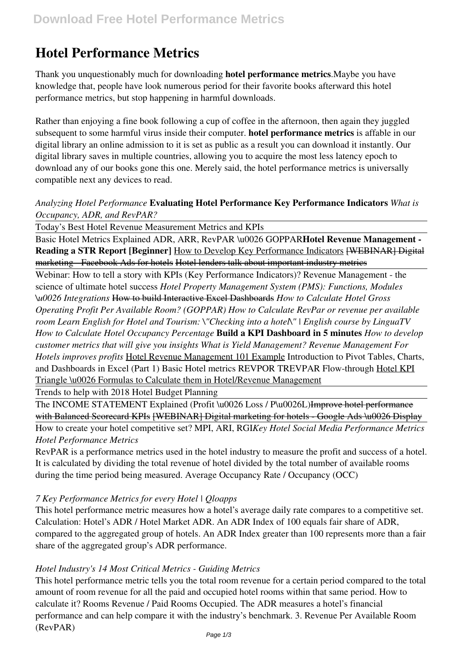# **Hotel Performance Metrics**

Thank you unquestionably much for downloading **hotel performance metrics**.Maybe you have knowledge that, people have look numerous period for their favorite books afterward this hotel performance metrics, but stop happening in harmful downloads.

Rather than enjoying a fine book following a cup of coffee in the afternoon, then again they juggled subsequent to some harmful virus inside their computer. **hotel performance metrics** is affable in our digital library an online admission to it is set as public as a result you can download it instantly. Our digital library saves in multiple countries, allowing you to acquire the most less latency epoch to download any of our books gone this one. Merely said, the hotel performance metrics is universally compatible next any devices to read.

#### *Analyzing Hotel Performance* **Evaluating Hotel Performance Key Performance Indicators** *What is Occupancy, ADR, and RevPAR?*

Today's Best Hotel Revenue Measurement Metrics and KPIs

Basic Hotel Metrics Explained ADR, ARR, RevPAR \u0026 GOPPAR**Hotel Revenue Management - Reading a STR Report [Beginner]** How to Develop Key Performance Indicators [WEBINAR] Digital marketing - Facebook Ads for hotels Hotel lenders talk about important industry metrics

Webinar: How to tell a story with KPIs (Key Performance Indicators)? Revenue Management - the science of ultimate hotel success *Hotel Property Management System (PMS): Functions, Modules \u0026 Integrations* How to build Interactive Excel Dashboards *How to Calculate Hotel Gross Operating Profit Per Available Room? (GOPPAR) How to Calculate RevPar or revenue per available room Learn English for Hotel and Tourism: \"Checking into a hotel\" | English course by LinguaTV How to Calculate Hotel Occupancy Percentage* **Build a KPI Dashboard in 5 minutes** *How to develop customer metrics that will give you insights What is Yield Management? Revenue Management For Hotels improves profits* Hotel Revenue Management 101 Example Introduction to Pivot Tables, Charts, and Dashboards in Excel (Part 1) Basic Hotel metrics REVPOR TREVPAR Flow-through Hotel KPI Triangle \u0026 Formulas to Calculate them in Hotel/Revenue Management

Trends to help with 2018 Hotel Budget Planning

The INCOME STATEMENT Explained (Profit \u0026 Loss / P\u0026L)Improve hotel performance with Balanced Scorecard KPIs [WEBINAR] Digital marketing for hotels - Google Ads \u0026 Display

How to create your hotel competitive set? MPI, ARI, RGI*Key Hotel Social Media Performance Metrics Hotel Performance Metrics*

RevPAR is a performance metrics used in the hotel industry to measure the profit and success of a hotel. It is calculated by dividing the total revenue of hotel divided by the total number of available rooms during the time period being measured. Average Occupancy Rate / Occupancy (OCC)

# *7 Key Performance Metrics for every Hotel | Qloapps*

This hotel performance metric measures how a hotel's average daily rate compares to a competitive set. Calculation: Hotel's ADR / Hotel Market ADR. An ADR Index of 100 equals fair share of ADR, compared to the aggregated group of hotels. An ADR Index greater than 100 represents more than a fair share of the aggregated group's ADR performance.

#### *Hotel Industry's 14 Most Critical Metrics - Guiding Metrics*

This hotel performance metric tells you the total room revenue for a certain period compared to the total amount of room revenue for all the paid and occupied hotel rooms within that same period. How to calculate it? Rooms Revenue / Paid Rooms Occupied. The ADR measures a hotel's financial performance and can help compare it with the industry's benchmark. 3. Revenue Per Available Room (RevPAR)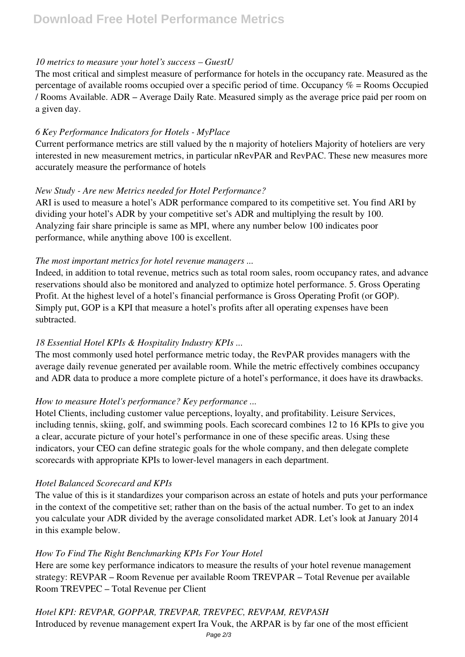#### *10 metrics to measure your hotel's success – GuestU*

The most critical and simplest measure of performance for hotels in the occupancy rate. Measured as the percentage of available rooms occupied over a specific period of time. Occupancy  $\%$  = Rooms Occupied / Rooms Available. ADR – Average Daily Rate. Measured simply as the average price paid per room on a given day.

#### *6 Key Performance Indicators for Hotels - MyPlace*

Current performance metrics are still valued by the n majority of hoteliers Majority of hoteliers are very interested in new measurement metrics, in particular nRevPAR and RevPAC. These new measures more accurately measure the performance of hotels

## *New Study - Are new Metrics needed for Hotel Performance?*

ARI is used to measure a hotel's ADR performance compared to its competitive set. You find ARI by dividing your hotel's ADR by your competitive set's ADR and multiplying the result by 100. Analyzing fair share principle is same as MPI, where any number below 100 indicates poor performance, while anything above 100 is excellent.

#### *The most important metrics for hotel revenue managers ...*

Indeed, in addition to total revenue, metrics such as total room sales, room occupancy rates, and advance reservations should also be monitored and analyzed to optimize hotel performance. 5. Gross Operating Profit. At the highest level of a hotel's financial performance is Gross Operating Profit (or GOP). Simply put, GOP is a KPI that measure a hotel's profits after all operating expenses have been subtracted.

# *18 Essential Hotel KPIs & Hospitality Industry KPIs ...*

The most commonly used hotel performance metric today, the RevPAR provides managers with the average daily revenue generated per available room. While the metric effectively combines occupancy and ADR data to produce a more complete picture of a hotel's performance, it does have its drawbacks.

#### *How to measure Hotel's performance? Key performance ...*

Hotel Clients, including customer value perceptions, loyalty, and profitability. Leisure Services, including tennis, skiing, golf, and swimming pools. Each scorecard combines 12 to 16 KPIs to give you a clear, accurate picture of your hotel's performance in one of these specific areas. Using these indicators, your CEO can define strategic goals for the whole company, and then delegate complete scorecards with appropriate KPIs to lower-level managers in each department.

#### *Hotel Balanced Scorecard and KPIs*

The value of this is it standardizes your comparison across an estate of hotels and puts your performance in the context of the competitive set; rather than on the basis of the actual number. To get to an index you calculate your ADR divided by the average consolidated market ADR. Let's look at January 2014 in this example below.

#### *How To Find The Right Benchmarking KPIs For Your Hotel*

Here are some key performance indicators to measure the results of your hotel revenue management strategy: REVPAR – Room Revenue per available Room TREVPAR – Total Revenue per available Room TREVPEC – Total Revenue per Client

# *Hotel KPI: REVPAR, GOPPAR, TREVPAR, TREVPEC, REVPAM, REVPASH*

Introduced by revenue management expert Ira Vouk, the ARPAR is by far one of the most efficient